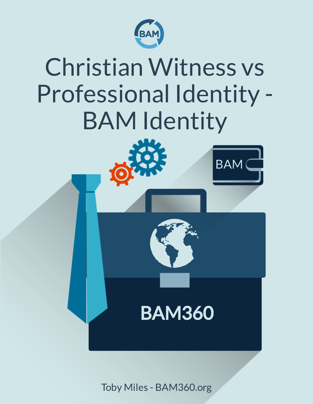



Toby Miles - BAM360.org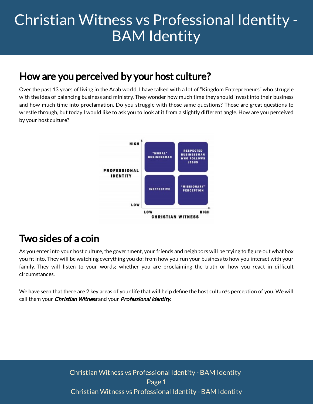### How are you perceived by your host culture?

Over the past 13 years of living in the Arab world, I have talked with a lot of "Kingdom Entrepreneurs" who struggle with the idea of balancing business and ministry. They wonder how much time they should invest into their business and how much time into proclamation. Do you struggle with those same questions? Those are great questions to wrestle through, but today I would like to ask you to look at it from a slightly different angle. How are you perceived by your host culture?



### Two sides of a coin

As you enter into your host culture, the government, your friends and neighbors will be trying to figure out what box you fit into. They will be watching everything you do; from how you run your business to how you interact with your family. They will listen to your words; whether you are proclaiming the truth or how you react in difficult circumstances.

We have seen that there are 2 key areas of your life that will help define the host culture's perception of you. We will call them your *Christian Witness* and your *Professional Identity*.

> Page 1 [Christian Witness vs Professional Identity - BAM Identity](https://www.bam360.org/christian-witness-vs-professional-identity/) [Christian Witness vs Professional Identity - BAM Identity](https://www.bam360.org/christian-witness-vs-professional-identity/)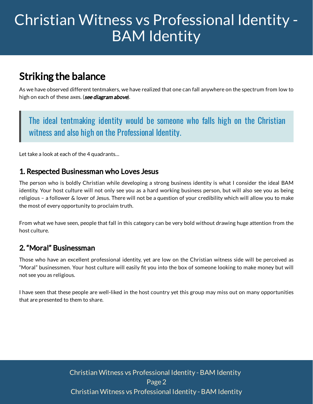### Striking the balance

As we have observed different tentmakers, we have realized that one can fall anywhere on the spectrum from low to high on each of these axes. (**see diagram above**).

The ideal tentmaking identity would be someone who falls high on the Christian witness and also high on the Professional Identity.

Let take a look at each of the 4 quadrants…

#### 1. Respected Businessman who Loves Jesus

The person who is boldly Christian while developing a strong business identity is what I consider the ideal BAM identity. Your host culture will not only see you as a hard working business person, but will also see you as being religious – a follower & lover of Jesus. There will not be a question of your credibility which will allow you to make the most of every opportunity to proclaim truth.

From what we have seen, people that fall in this category can be very bold without drawing huge attention from the host culture.

#### 2. "Moral" Businessman

Those who have an excellent professional identity, yet are low on the Christian witness side will be perceived as "Moral" businessmen. Your host culture will easily fit you into the box of someone looking to make money but will not see you as religious.

I have seen that these people are well-liked in the host country yet this group may miss out on many opportunities that are presented to them to share.

> Page2 [Christian Witness vs Professional Identity - BAM Identity](https://www.bam360.org/christian-witness-vs-professional-identity/) [Christian Witness vs Professional Identity - BAM Identity](https://www.bam360.org/christian-witness-vs-professional-identity/)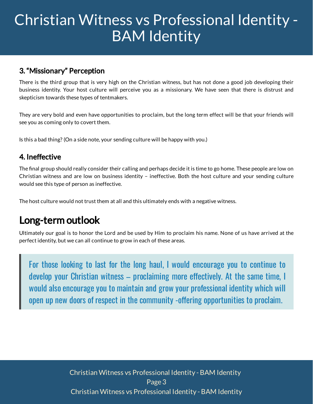#### 3. "Missionary" Perception

There is the third group that is very high on the Christian witness, but has not done a good job developing their business identity. Your host culture will perceive you as a missionary. We have seen that there is distrust and skepticism towards these types of tentmakers.

They are very bold and even have opportunities to proclaim, but the long term effect will be that your friends will see you as coming only to covert them.

Is this a bad thing? (On a side note, your sending culture will be happy with you.)

#### 4. Ineffective

The final group should really consider their calling and perhaps decide it is time to go home. These people are low on Christian witness and are low on business identity – ineffective. Both the host culture and your sending culture would see this type of person as ineffective.

The host culture would not trust them at all and this ultimately ends with a negative witness.

### Long-term outlook

Ultimately our goal is to honor the Lord and be used by Him to proclaim his name. None of us have arrived at the perfect identity, but we can all continue to grow in each of these areas.

For those looking to last for the long haul, I would encourage you to continue to develop your Christian witness – proclaiming more effectively. At the same time, I would also encourage you to maintain and grow your professional identity which will open up new doors of respect in the community -offering opportunities to proclaim.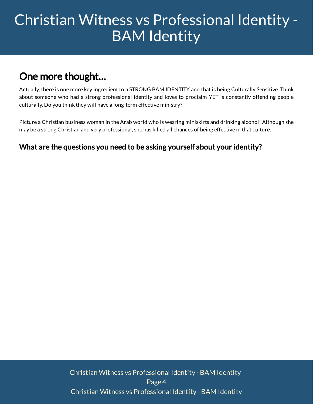## One more thought…

Actually, there is one more key ingredient to a STRONG BAM IDENTITY and that is being Culturally Sensitive. Think about someone who had a strong professional identity and loves to proclaim YET is constantly offending people culturally. Do you think they will have a long-term effective ministry?

Picture a Christian business woman in the Arab world who is wearing miniskirts and drinking alcohol! Although she may be a strong Christian and very professional, she has killed all chances of being effective in that culture.

### What are the questions you need to be asking yourself about your identity?

Page4 [Christian Witness vs Professional Identity - BAM Identity](https://www.bam360.org/christian-witness-vs-professional-identity/) [Christian Witness vs Professional Identity - BAM Identity](https://www.bam360.org/christian-witness-vs-professional-identity/)